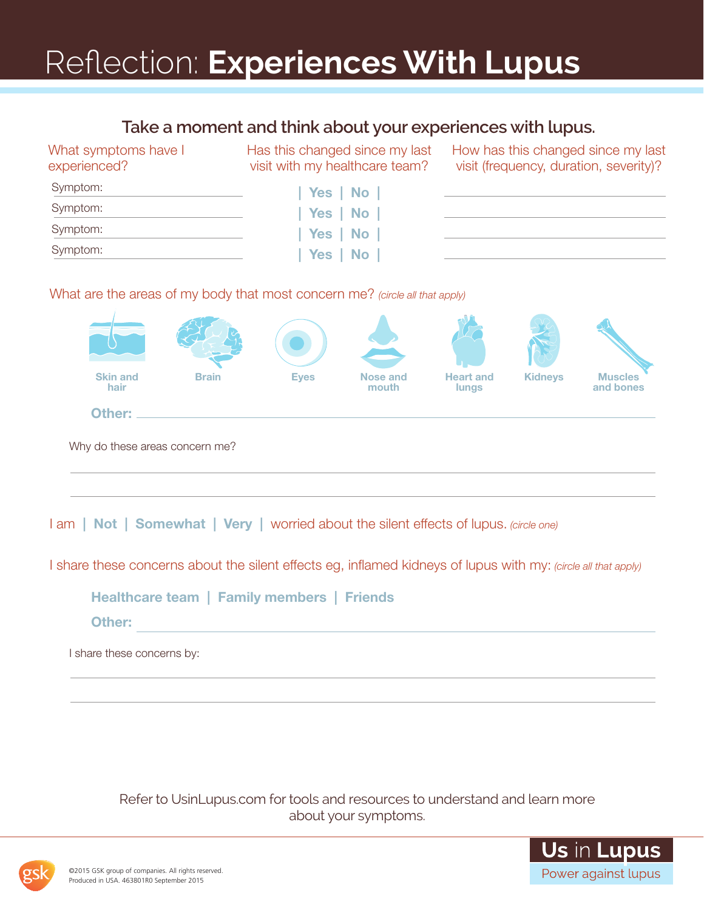## Reflection: **Experiences With Lupus**

### **Take a moment and think about your experiences with lupus.**

| <u>Rand a filofitofic and chinin about your exponditions with tapas.</u> |                                                                             |                                                                             |
|--------------------------------------------------------------------------|-----------------------------------------------------------------------------|-----------------------------------------------------------------------------|
| What symptoms have I<br>experienced?                                     | Has this changed since my last<br>visit with my healthcare team?            | How has this changed since my las<br>visit (frequency, duration, severity)? |
| Symptom:                                                                 | Yes   No                                                                    |                                                                             |
| Symptom:                                                                 | Yes   No                                                                    |                                                                             |
| Symptom:                                                                 | Yes   No                                                                    |                                                                             |
| Symptom:                                                                 | Yes   No                                                                    |                                                                             |
|                                                                          |                                                                             |                                                                             |
|                                                                          | What are the areas of my body that most concern me? (circle all that apply) |                                                                             |
|                                                                          |                                                                             |                                                                             |



I am | Not | Somewhat | Very | worried about the silent effects of lupus. *(circle one)*

I share these concerns about the silent effects eg, inflamed kidneys of lupus with my: *(circle all that apply)*

Healthcare team | Family members | Friends

Other:

I share these concerns by:

Refer to UsinLupus.com for tools and resources to understand and learn more about your symptoms.



my last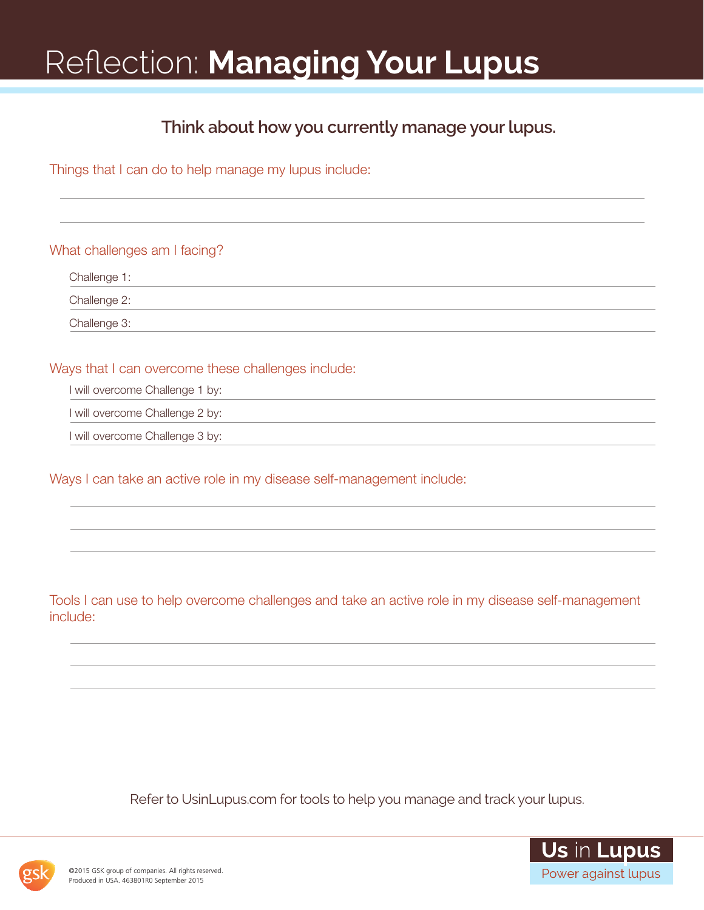## Reflection: **Managing Your Lupus**

### **Think about how you currently manage your lupus.**

Things that I can do to help manage my lupus include:

What challenges am I facing?

Challenge 1:

Challenge 2:

Challenge 3:

Ways that I can overcome these challenges include:

I will overcome Challenge 1 by:

I will overcome Challenge 2 by:

I will overcome Challenge 3 by:

Ways I can take an active role in my disease self-management include:

Tools I can use to help overcome challenges and take an active role in my disease self-management include:

Refer to UsinLupus.com for tools to help you manage and track your lupus.



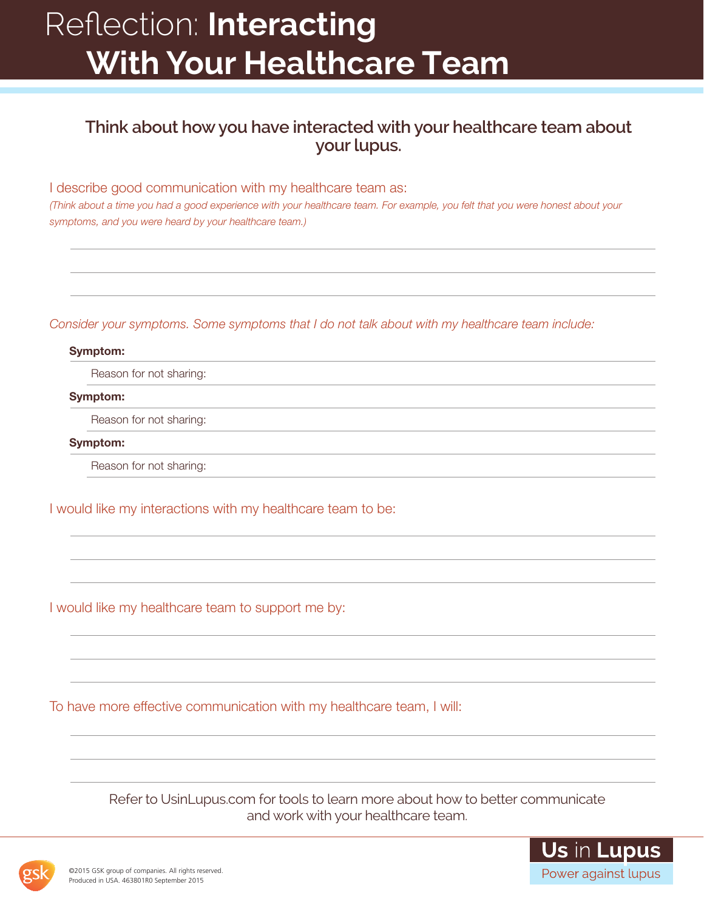## Reflection: **Interacting With Your Healthcare Team**

### **Think about how you have interacted with your healthcare team about your lupus.**

I describe good communication with my healthcare team as:

*(Think about a time you had a good experience with your healthcare team. For example, you felt that you were honest about your symptoms, and you were heard by your healthcare team.)*

#### *Consider your symptoms. Some symptoms that I do not talk about with my healthcare team include:*

#### Symptom:

Reason for not sharing:

Symptom:

Reason for not sharing:

Symptom:

Reason for not sharing:

I would like my interactions with my healthcare team to be:

I would like my healthcare team to support me by:

To have more effective communication with my healthcare team, I will:

Refer to UsinLupus.com for tools to learn more about how to better communicate and work with your healthcare team.



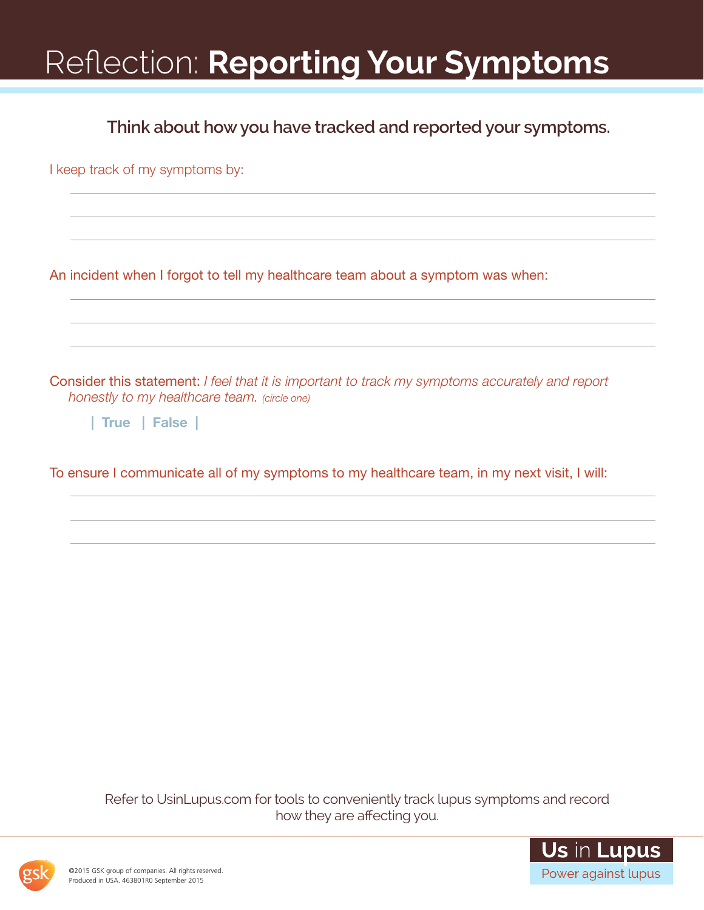# Reflection: **Reporting Your Symptoms**

**Think about how you have tracked and reported your symptoms.**

I keep track of my symptoms by:

An incident when I forgot to tell my healthcare team about a symptom was when:

Consider this statement: *I feel that it is important to track my symptoms accurately and report honestly to my healthcare team. (circle one)*

| True | False |

To ensure I communicate all of my symptoms to my healthcare team, in my next visit, I will:

Refer to UsinLupus.com for tools to conveniently track lupus symptoms and record how they are affecting you.